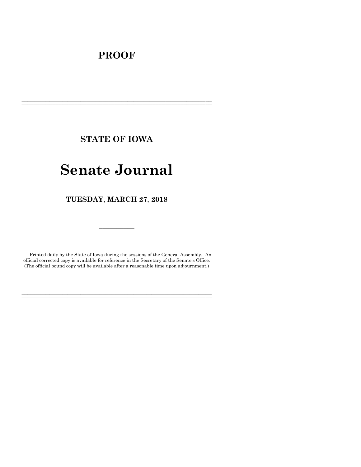# **PROOF**

**STATE OF IOWA**

**\_\_\_\_\_\_\_\_\_\_\_\_\_\_\_\_\_\_\_\_\_\_\_\_\_\_\_\_\_\_\_\_\_\_\_\_\_\_\_\_\_\_\_\_\_\_\_\_\_\_\_\_\_\_\_\_\_\_\_\_\_\_\_\_\_\_\_\_\_\_\_\_\_\_\_\_\_\_\_\_\_\_\_\_\_\_\_\_\_\_\_\_\_\_\_\_\_\_\_\_\_\_\_\_\_\_\_\_\_\_\_\_\_\_\_\_\_\_\_\_\_\_\_\_\_\_\_\_\_ \_\_\_\_\_\_\_\_\_\_\_\_\_\_\_\_\_\_\_\_\_\_\_\_\_\_\_\_\_\_\_\_\_\_\_\_\_\_\_\_\_\_\_\_\_\_\_\_\_\_\_\_\_\_\_\_\_\_\_\_\_\_\_\_\_\_\_\_\_\_\_\_\_\_\_\_\_\_\_\_\_\_\_\_\_\_\_\_\_\_\_\_\_\_\_\_\_\_\_\_\_\_\_\_\_\_\_\_\_\_\_\_\_\_\_\_\_\_\_\_\_\_\_\_\_\_\_\_\_**

# **Senate Journal**

**TUESDAY**, **MARCH 27**, **2018**

Printed daily by the State of Iowa during the sessions of the General Assembly. An official corrected copy is available for reference in the Secretary of the Senate's Office. (The official bound copy will be available after a reasonable time upon adjournment.)

**\_\_\_\_\_\_\_\_\_\_\_\_\_\_\_\_\_\_\_\_\_\_\_\_\_\_\_\_\_\_\_\_\_\_\_\_\_\_\_\_\_\_\_\_\_\_\_\_\_\_\_\_\_\_\_\_\_\_\_\_\_\_\_\_\_\_\_\_\_\_\_\_\_\_\_\_\_\_\_\_\_\_\_\_\_\_\_\_\_\_\_\_\_\_\_\_\_\_\_\_\_\_\_\_\_\_\_\_\_\_\_\_\_\_\_\_\_\_\_\_\_\_\_\_\_\_\_\_\_ \_\_\_\_\_\_\_\_\_\_\_\_\_\_\_\_\_\_\_\_\_\_\_\_\_\_\_\_\_\_\_\_\_\_\_\_\_\_\_\_\_\_\_\_\_\_\_\_\_\_\_\_\_\_\_\_\_\_\_\_\_\_\_\_\_\_\_\_\_\_\_\_\_\_\_\_\_\_\_\_\_\_\_\_\_\_\_\_\_\_\_\_\_\_\_\_\_\_\_\_\_\_\_\_\_\_\_\_\_\_\_\_\_\_\_\_\_\_\_\_\_\_\_\_\_\_\_\_\_**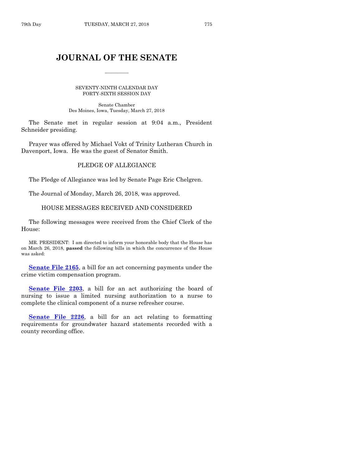# **JOURNAL OF THE SENATE**

 $\frac{1}{2}$ 

SEVENTY-NINTH CALENDAR DAY FORTY-SIXTH SESSION DAY

Senate Chamber Des Moines, Iowa, Tuesday, March 27, 2018

The Senate met in regular session at 9:04 a.m., President Schneider presiding.

Prayer was offered by Michael Vokt of Trinity Lutheran Church in Davenport, Iowa. He was the guest of Senator Smith.

#### PLEDGE OF ALLEGIANCE

The Pledge of Allegiance was led by Senate Page Eric Chelgren.

The Journal of Monday, March 26, 2018, was approved.

#### HOUSE MESSAGES RECEIVED AND CONSIDERED

The following messages were received from the Chief Clerk of the House:

MR. PRESIDENT: I am directed to inform your honorable body that the House has on March 26, 2018, **passed** the following bills in which the concurrence of the House was asked:

**[Senate File 2165](https://www.legis.iowa.gov/legislation/BillBook?ga=87&ba=SF2165)**, a bill for an act concerning payments under the crime victim compensation program.

**[Senate File 2203](https://www.legis.iowa.gov/legislation/BillBook?ga=87&ba=SF2203)**, a bill for an act authorizing the board of nursing to issue a limited nursing authorization to a nurse to complete the clinical component of a nurse refresher course.

**[Senate File 2226](https://www.legis.iowa.gov/legislation/BillBook?ga=87&ba=SF2226)**, a bill for an act relating to formatting requirements for groundwater hazard statements recorded with a county recording office.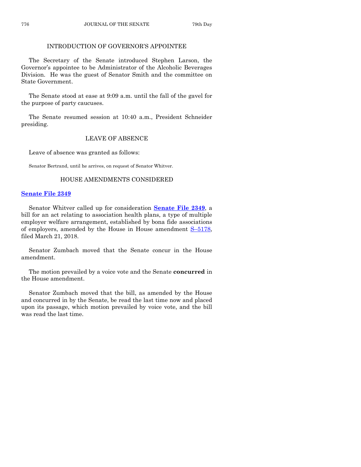# INTRODUCTION OF GOVERNOR'S APPOINTEE

The Secretary of the Senate introduced Stephen Larson, the Governor's appointee to be Administrator of the Alcoholic Beverages Division. He was the guest of Senator Smith and the committee on State Government.

The Senate stood at ease at 9:09 a.m. until the fall of the gavel for the purpose of party caucuses.

The Senate resumed session at 10:40 a.m., President Schneider presiding.

#### LEAVE OF ABSENCE

Leave of absence was granted as follows:

Senator Bertrand, until he arrives, on request of Senator Whitver.

## HOUSE AMENDMENTS CONSIDERED

## **[Senate File 2349](https://www.legis.iowa.gov/legislation/BillBook?ga=87&ba=SF2349)**

Senator Whitver called up for consideration **[Senate File 2349](https://www.legis.iowa.gov/legislation/BillBook?ga=87&ba=SF2349)**, a bill for an act relating to association health plans, a type of multiple employer welfare arrangement, established by bona fide associations of employers, amended by the House in House amendment  $S$ –[5178,](https://www.legis.iowa.gov/legislation/BillBook?ga=87&ba=S5178) filed March 21, 2018.

Senator Zumbach moved that the Senate concur in the House amendment.

The motion prevailed by a voice vote and the Senate **concurred** in the House amendment.

Senator Zumbach moved that the bill, as amended by the House and concurred in by the Senate, be read the last time now and placed upon its passage, which motion prevailed by voice vote, and the bill was read the last time.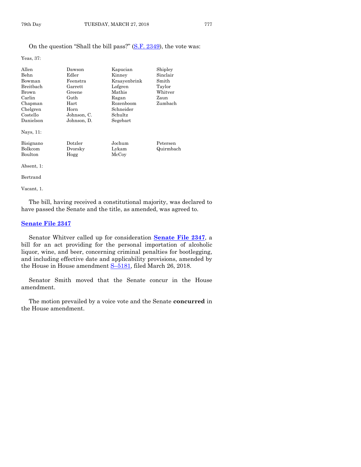Yeas, 37:

| Allen<br>Behn<br>Bowman<br><b>Breithach</b><br>Brown<br>Carlin<br>Chapman<br>Chelgren<br>Costello<br>Danielson | Dawson<br>Edler<br>Feenstra<br>Garrett<br>Greene<br>Guth<br>Hart<br>Horn<br>Johnson, C.<br>Johnson, D. | Kapucian<br>Kinney<br>Kraayenbrink<br>Lofgren<br>Mathis<br>Ragan<br>Rozenboom<br>Schneider<br>Schultz<br>Segebart | Shipley<br>Sinclair<br>Smith<br>Taylor<br>Whitver<br>Zaun<br>Zumbach |
|----------------------------------------------------------------------------------------------------------------|--------------------------------------------------------------------------------------------------------|-------------------------------------------------------------------------------------------------------------------|----------------------------------------------------------------------|
| Nays, 11:                                                                                                      |                                                                                                        |                                                                                                                   |                                                                      |
| Bisignano<br><b>Bolkcom</b><br>Boulton                                                                         | Dotzler<br>Dvorsky<br>Hogg                                                                             | Jochum<br>Lykam<br>McCoy                                                                                          | Petersen<br>Quirmbach                                                |

Absent, 1:

Bertrand

Vacant, 1.

The bill, having received a constitutional majority, was declared to have passed the Senate and the title, as amended, was agreed to.

# **[Senate File 2347](https://www.legis.iowa.gov/legislation/BillBook?ga=87&ba=SF2347)**

Senator Whitver called up for consideration **[Senate File 2347](https://www.legis.iowa.gov/legislation/BillBook?ga=87&ba=SF2347)**, a bill for an act providing for the personal importation of alcoholic liquor, wine, and beer, concerning criminal penalties for bootlegging, and including effective date and applicability provisions, amended by the House in House amendment S-[5181,](https://www.legis.iowa.gov/legislation/BillBook?ga=87&ba=S5181) filed March 26, 2018.

Senator Smith moved that the Senate concur in the House amendment.

The motion prevailed by a voice vote and the Senate **concurred** in the House amendment.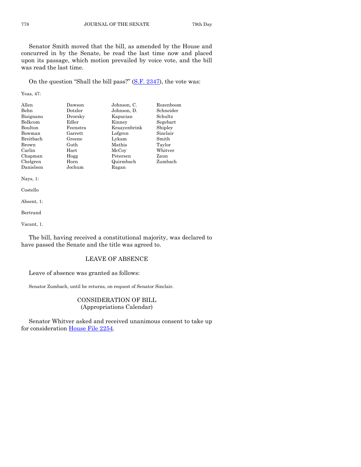Senator Smith moved that the bill, as amended by the House and concurred in by the Senate, be read the last time now and placed upon its passage, which motion prevailed by voice vote, and the bill was read the last time.

On the question "Shall the bill pass?" [\(S.F. 2347\)](https://www.legis.iowa.gov/legislation/BillBook?ga=87&ba=SF2347), the vote was:

Yeas, 47:

| Allen          | Dawson         | Johnson, C.  | Rozenboom |
|----------------|----------------|--------------|-----------|
| Behn           | Dotzler        | Johnson, D.  | Schneider |
| Bisignano      | Dvorsky        | Kapucian     | Schultz   |
| <b>Bolkcom</b> | Edler          | Kinney       | Segebart  |
| Boulton        | Feenstra       | Kraavenbrink | Shipley   |
| Bowman         | $\rm{Garrett}$ | Lofgren      | Sinclair  |
| Breitbach      | Greene         | Lykam        | Smith     |
| Brown          | Guth           | Mathis       | Taylor    |
| Carlin         | $\rm Hart$     | McCoy        | Whitver   |
| Chapman        | Hogg           | Petersen     | Zaun      |
| Chelgren       | Horn           | Quirmbach    | Zumbach   |
| Danielson      | Jochum         | Ragan        |           |

Nays, 1:

Costello

Absent, 1:

Bertrand

Vacant, 1.

The bill, having received a constitutional majority, was declared to have passed the Senate and the title was agreed to.

#### LEAVE OF ABSENCE

Leave of absence was granted as follows:

Senator Zumbach, until he returns, on request of Senator Sinclair.

# CONSIDERATION OF BILL (Appropriations Calendar)

Senator Whitver asked and received unanimous consent to take up for consideration [House File 2254.](https://www.legis.iowa.gov/legislation/BillBook?ga=87&ba=HF2254)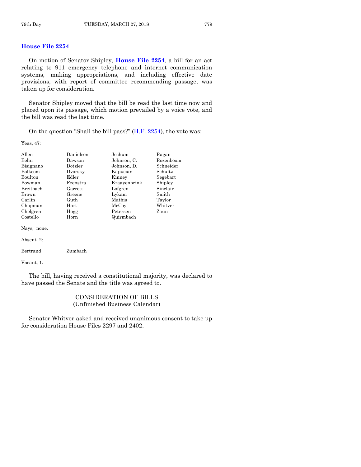# **[House File 2254](https://www.legis.iowa.gov/legislation/BillBook?ga=87&ba=HF2254)**

On motion of Senator Shipley, **[House File 2254](https://www.legis.iowa.gov/legislation/BillBook?ga=87&ba=HF2254)**, a bill for an act relating to 911 emergency telephone and internet communication systems, making appropriations, and including effective date provisions, with report of committee recommending passage, was taken up for consideration.

Senator Shipley moved that the bill be read the last time now and placed upon its passage, which motion prevailed by a voice vote, and the bill was read the last time.

On the question "Shall the bill pass?"  $(H.F. 2254)$ , the vote was:

Yeas, 47:

| Allen       | Danielson | Jochum       | Ragan         |
|-------------|-----------|--------------|---------------|
| Behn        | Dawson    | Johnson, C.  | Rozenboom     |
| Bisignano   | Dotzler   | Johnson, D.  | Schneider     |
| Bolkcom     | Dvorsky   | Kapucian     | Schultz       |
| Boulton     | Edler     | Kinney       | Segebart      |
| Bowman      | Feenstra  | Kraayenbrink | Shipley       |
| Breithach   | Garrett   | Lofgren      | Sinclair      |
| Brown       | Greene    | Lykam        | Smith         |
| Carlin      | Guth      | Mathis       | Taylor        |
| Chapman     | Hart      | McCoy        | $\rm Whitter$ |
| Chelgren    | Hogg      | Petersen     | Zaun          |
| Costello    | Horn      | Quirmbach    |               |
| Nays, none. |           |              |               |
| Absent, 2:  |           |              |               |
| Bertrand    | Zumbach   |              |               |
|             |           |              |               |

Vacant, 1.

The bill, having received a constitutional majority, was declared to have passed the Senate and the title was agreed to.

# CONSIDERATION OF BILLS (Unfinished Business Calendar)

Senator Whitver asked and received unanimous consent to take up for consideration House Files 2297 and 2402.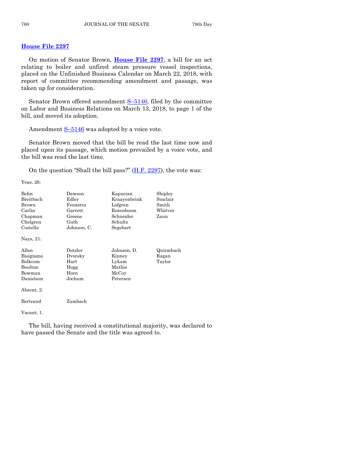# **[House File 2297](https://www.legis.iowa.gov/legislation/BillBook?ga=87&ba=HF2297)**

On motion of Senator Brown, **[House File 2297](https://www.legis.iowa.gov/legislation/BillBook?ga=87&ba=HF2297)**, a bill for an act relating to boiler and unfired steam pressure vessel inspections, placed on the Unfinished Business Calendar on March 22, 2018, with report of committee recommending amendment and passage, was taken up for consideration.

Senator Brown offered amendment  $S-5146$ , filed by the committee on Labor and Business Relations on March 13, 2018, to page 1 of the bill, and moved its adoption.

Amendment  $S-5146$  $S-5146$  was adopted by a voice vote.

Senator Brown moved that the bill be read the last time now and placed upon its passage, which motion prevailed by a voice vote, and the bill was read the last time.

On the question "Shall the bill pass?"  $(H.F. 2297)$ , the vote was:

Yeas, 26:

| <b>Behn</b>                    | Dawson           | Kapucian     | Shipley   |
|--------------------------------|------------------|--------------|-----------|
| Breitbach                      | Edler            | Kraavenbrink | Sinclair  |
| Brown                          | Feenstra         | Lofgren      | Smith     |
| Carlin                         | Garrett          | Rozenboom    | Whitver   |
| Chapman                        | Greene           | Schneider    | Zaun      |
| Chelgren                       | Guth             | Schultz      |           |
| Costello                       | Johnson, C.      | Segebart     |           |
| Nays, 21:                      |                  |              |           |
| Allen                          | $_{\rm Dotzler}$ | Johnson, D.  | Quirmbach |
| Bisignano                      | Dvorsky          | Kinney       | Ragan     |
| Bolkcom                        | Hart             | Lykam        | Taylor    |
| Boulton                        | Hogg             | Mathis       |           |
| Bowman                         | Horn             | McCoy        |           |
| Danielson                      | Jochum           | Petersen     |           |
| Absent, 2:                     |                  |              |           |
| Bertrand                       | Zumbach          |              |           |
| $\overline{17}$ $\overline{1}$ |                  |              |           |

Vacant, 1.

The bill, having received a constitutional majority, was declared to have passed the Senate and the title was agreed to.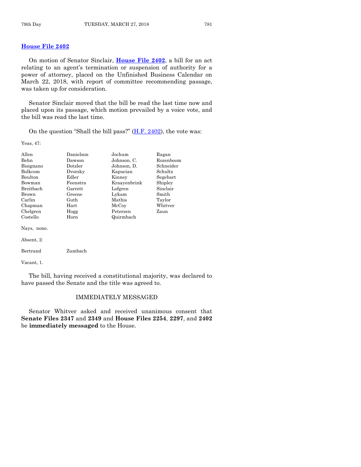# **[House File 2402](https://www.legis.iowa.gov/legislation/BillBook?ga=87&ba=HF2402)**

On motion of Senator Sinclair, **[House File 2402](https://www.legis.iowa.gov/legislation/BillBook?ga=87&ba=HF2402)**, a bill for an act relating to an agent's termination or suspension of authority for a power of attorney, placed on the Unfinished Business Calendar on March 22, 2018, with report of committee recommending passage, was taken up for consideration.

Senator Sinclair moved that the bill be read the last time now and placed upon its passage, which motion prevailed by a voice vote, and the bill was read the last time.

On the question "Shall the bill pass?"  $(H.F. 2402)$ , the vote was:

Yeas, 47:

| Allen       | Danielson | Jochum       | Ragan     |
|-------------|-----------|--------------|-----------|
| Behn        | Dawson    | Johnson, C.  | Rozenboom |
| Bisignano   | Dotzler   | Johnson, D.  | Schneider |
| Bolkcom     | Dvorsky   | Kapucian     | Schultz   |
| Boulton     | Edler     | Kinney       | Segebart  |
| Bowman      | Feenstra  | Kraayenbrink | Shipley   |
| Breitbach   | Garrett   | Lofgren      | Sinclair  |
| Brown       | Greene    | Lykam        | Smith     |
| Carlin      | Guth      | Mathis       | Taylor    |
| Chapman     | Hart      | McCoy        | Whitver   |
| Chelgren    | Hogg      | Petersen     | Zaun      |
| Costello    | Horn      | Quirmbach    |           |
| Nays, none. |           |              |           |
| Absent, 2:  |           |              |           |
| Bertrand    | Zumbach   |              |           |
| Vacant. 1.  |           |              |           |

The bill, having received a constitutional majority, was declared to have passed the Senate and the title was agreed to.

#### IMMEDIATELY MESSAGED

Senator Whitver asked and received unanimous consent that **Senate Files 2347** and **2349** and **House Files 2254**, **2297**, and **2402** be **immediately messaged** to the House.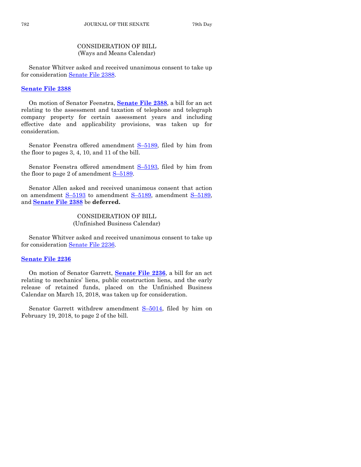# CONSIDERATION OF BILL (Ways and Means Calendar)

Senator Whitver asked and received unanimous consent to take up for consideration [Senate File 2388.](https://www.legis.iowa.gov/legislation/BillBook?ga=87&ba=SF2388)

## **[Senate File 2388](https://www.legis.iowa.gov/legislation/BillBook?ga=87&ba=SF2388)**

On motion of Senator Feenstra, **[Senate File 2388](https://www.legis.iowa.gov/legislation/BillBook?ga=87&ba=SF2388)**, a bill for an act relating to the assessment and taxation of telephone and telegraph company property for certain assessment years and including effective date and applicability provisions, was taken up for consideration.

Senator Feenstra offered amendment S-[5189,](https://www.legis.iowa.gov/legislation/BillBook?ga=87&ba=S5189) filed by him from the floor to pages 3, 4, 10, and 11 of the bill.

Senator Feenstra offered amendment S-[5193,](https://www.legis.iowa.gov/legislation/BillBook?ga=87&ba=S5193) filed by him from the floor to page 2 of amendment S–[5189.](https://www.legis.iowa.gov/legislation/BillBook?ga=87&ba=S5189)

Senator Allen asked and received unanimous consent that action on amendment S–[5193](https://www.legis.iowa.gov/legislation/BillBook?ga=87&ba=S5193) to amendment S–[5189,](https://www.legis.iowa.gov/legislation/BillBook?ga=87&ba=S5189) amendment S–[5189,](https://www.legis.iowa.gov/legislation/BillBook?ga=87&ba=S5189) and **[Senate File 2388](https://www.legis.iowa.gov/legislation/BillBook?ga=87&ba=SF2388)** be **deferred.**

> CONSIDERATION OF BILL (Unfinished Business Calendar)

Senator Whitver asked and received unanimous consent to take up for consideration [Senate File 2236.](https://www.legis.iowa.gov/legislation/BillBook?ga=87&ba=SF2236)

#### **Senate [File 2236](https://www.legis.iowa.gov/legislation/BillBook?ga=87&ba=SF2236)**

On motion of Senator Garrett, **[Senate File 2236](https://www.legis.iowa.gov/legislation/BillBook?ga=87&ba=SF2236)**, a bill for an act relating to mechanics' liens, public construction liens, and the early release of retained funds, placed on the Unfinished Business Calendar on March 15, 2018, was taken up for consideration.

Senator Garrett withdrew amendment S-[5014,](https://www.legis.iowa.gov/legislation/BillBook?ga=87&ba=S5014) filed by him on February 19, 2018, to page 2 of the bill.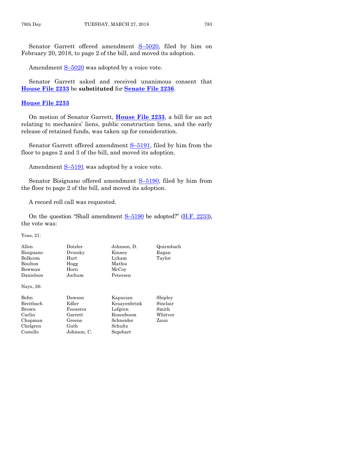Senator Garrett offered amendment S–[5020,](https://www.legis.iowa.gov/legislation/BillBook?ga=87&ba=S5020) filed by him on February 20, 2018, to page 2 of the bill, and moved its adoption.

Amendment  $S-5020$  $S-5020$  was adopted by a voice vote.

Senator Garrett asked and received unanimous consent that **[House File 2233](https://www.legis.iowa.gov/legislation/BillBook?ga=87&ba=HF2233)** be **substituted** for **[Senate File 2236](https://www.legis.iowa.gov/legislation/BillBook?ga=87&ba=SF2236)**.

#### **[House File 2233](https://www.legis.iowa.gov/legislation/BillBook?ga=87&ba=HF2233)**

On motion of Senator Garrett, **[House File 2233](https://www.legis.iowa.gov/legislation/BillBook?ga=87&ba=HF2233)**, a bill for an act relating to mechanics' liens, public construction liens, and the early release of retained funds, was taken up for consideration.

Senator Garrett offered amendment S-[5191,](https://www.legis.iowa.gov/legislation/BillBook?ga=87&ba=S5191) filed by him from the floor to pages 2 and 3 of the bill, and moved its adoption.

Amendment  $S-5191$  $S-5191$  was adopted by a voice vote.

Senator Bisignano offered amendment S-[5190,](https://www.legis.iowa.gov/legislation/BillBook?ga=87&ba=S5190) filed by him from the floor to page 2 of the bill, and moved its adoption.

A record roll call was requested.

On the question "Shall amendment  $S$ –[5190](https://www.legis.iowa.gov/legislation/BillBook?ga=87&ba=S5190) be adopted?" [\(H.F. 2233\)](https://www.legis.iowa.gov/legislation/BillBook?ga=87&ba=HF2233), the vote was:

Yeas, 21:

| Allen     | Dotzler     | Johnson, D.  | Quirmbach |
|-----------|-------------|--------------|-----------|
| Bisignano | Dvorsky     | Kinney       | Ragan     |
| Bolkcom   | Hart        | Lykam        | Taylor    |
| Boulton   | Hogg        | Mathis       |           |
| Bowman    | Horn        | McCoy        |           |
| Danielson | Jochum      | Petersen     |           |
| Nays, 26: |             |              |           |
| Behn      | Dawson      | Kapucian     | Shipley   |
| Breitbach | Edler       | Kraayenbrink | Sinclair  |
| Brown     | Feenstra    | Lofgren      | Smith     |
| Carlin    | Garrett     | Rozenboom    | Whitver   |
| Chapman   | Greene      | Schneider    | Zaun      |
| Chelgren  | Guth        | Schultz      |           |
| Costello  | Johnson, C. | Segebart     |           |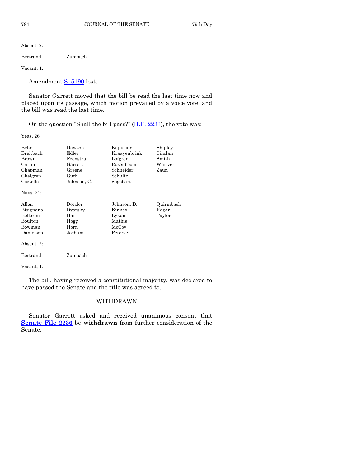Absent, 2:

Bertrand Zumbach

Vacant, 1.

Amendment S–[5190](https://www.legis.iowa.gov/legislation/BillBook?ga=87&ba=S5190) lost.

Senator Garrett moved that the bill be read the last time now and placed upon its passage, which motion prevailed by a voice vote, and the bill was read the last time.

On the question "Shall the bill pass?"  $(H.F. 2233)$ , the vote was:

Yeas, 26:

| Behn<br>Breitbach<br>Brown<br>Carlin<br>Chapman<br>Chelgren<br>Costello | Dawson<br>Edler<br>Feenstra<br>Garrett<br>Greene<br>Guth<br>Johnson, C. | Kapucian<br>Kraayenbrink<br>Lofgren<br>Rozenboom<br>Schneider<br>Schultz<br>Segebart | Shipley<br>Sinclair<br>Smith<br>Whitver<br>Zaun |
|-------------------------------------------------------------------------|-------------------------------------------------------------------------|--------------------------------------------------------------------------------------|-------------------------------------------------|
| Nays, 21:                                                               |                                                                         |                                                                                      |                                                 |
| Allen<br>Bisignano<br>Bolkcom<br>Boulton<br>Bowman<br>Danielson         | Dotzler<br>Dvorsky<br>Hart<br>Hogg<br>Horn<br>Jochum                    | Johnson, D.<br>Kinney<br>Lykam<br>Mathis<br>McCoy<br>Petersen                        | Quirmbach<br>Ragan<br>Taylor                    |
| Absent, 2:                                                              |                                                                         |                                                                                      |                                                 |
| Bertrand                                                                | Zumbach                                                                 |                                                                                      |                                                 |
| Vacant, 1.                                                              |                                                                         |                                                                                      |                                                 |

The bill, having received a constitutional majority, was declared to have passed the Senate and the title was agreed to.

# WITHDRAWN

Senator Garrett asked and received unanimous consent that **[Senate File 2236](https://www.legis.iowa.gov/legislation/BillBook?ga=87&ba=SF2236)** be **withdrawn** from further consideration of the Senate.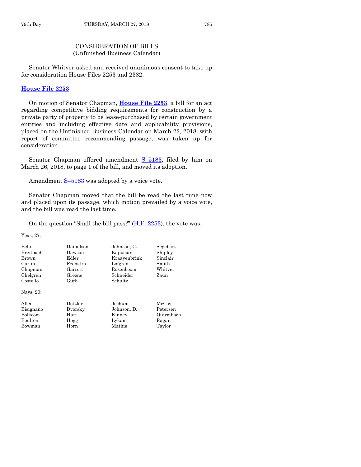# CONSIDERATION OF BILLS (Unfinished Business Calendar)

Senator Whitver asked and received unanimous consent to take up for consideration House Files 2253 and 2382.

#### **[House File 2253](https://www.legis.iowa.gov/legislation/BillBook?ga=87&ba=HF2253)**

On motion of Senator Chapman, **[House File 2253](https://www.legis.iowa.gov/legislation/BillBook?ga=87&ba=HF2253)**, a bill for an act regarding competitive bidding requirements for construction by a private party of property to be lease-purchased by certain government entities and including effective date and applicability provisions, placed on the Unfinished Business Calendar on March 22, 2018, with report of committee recommending passage, was taken up for consideration.

Senator Chapman offered amendment S–[5183,](https://www.legis.iowa.gov/legislation/BillBook?ga=87&ba=S5183) filed by him on March 26, 2018, to page 1 of the bill, and moved its adoption.

Amendment  $S-5183$  $S-5183$  was adopted by a voice vote.

Senator Chapman moved that the bill be read the last time now and placed upon its passage, which motion prevailed by a voice vote, and the bill was read the last time.

On the question "Shall the bill pass?"  $(H.F. 2253)$ , the vote was:

Yeas, 27:

| <b>Behn</b>      | Danielson | Johnson. C.  | Segebart  |
|------------------|-----------|--------------|-----------|
| <b>Breithach</b> | Dawson    | Kapucian     | Shipley   |
| Brown            | Edler     | Kraayenbrink | Sinclair  |
| Carlin           | Feenstra  | Lofgren      | Smith     |
| Chapman          | Garrett   | Rozenboom    | Whitver   |
| Chelgren         | Greene    | Schneider    | Zaun      |
| Costello         | Guth      | Schultz      |           |
| Nays, 20:        |           |              |           |
| Allen            | Dotzler   | Jochum       | McCoy     |
| Bisignano        | Dvorsky   | Johnson, D.  | Petersen  |
| Bolkcom          | Hart      | Kinney       | Quirmbach |
| Boulton          | Hogg      | Lykam        | Ragan     |
| Bowman           | Horn      | Mathis       | Taylor    |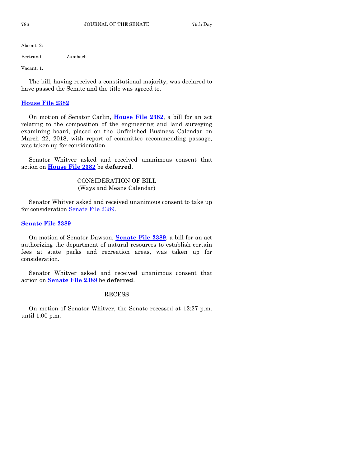Absent, 2:

Bertrand Zumbach

Vacant, 1.

The bill, having received a constitutional majority, was declared to have passed the Senate and the title was agreed to.

#### **[House File 2382](https://www.legis.iowa.gov/legislation/BillBook?ga=87&ba=HF2382)**

On motion of Senator Carlin, **[House File 2382](https://www.legis.iowa.gov/legislation/BillBook?ga=87&ba=HF2382)**, a bill for an act relating to the composition of the engineering and land surveying examining board, placed on the Unfinished Business Calendar on March 22, 2018, with report of committee recommending passage, was taken up for consideration.

Senator Whitver asked and received unanimous consent that action on **[House File 2382](https://www.legis.iowa.gov/legislation/BillBook?ga=87&ba=HF2382)** be **deferred**.

> CONSIDERATION OF BILL (Ways and Means Calendar)

Senator Whitver asked and received unanimous consent to take up for consideration [Senate File 2389.](https://www.legis.iowa.gov/legislation/BillBook?ga=87&ba=SF2389)

# **[Senate File 2389](https://www.legis.iowa.gov/legislation/BillBook?ga=87&ba=SF2389)**

On motion of Senator Dawson, **[Senate File 2389](https://www.legis.iowa.gov/legislation/BillBook?ga=87&ba=SF2389)**, a bill for an act authorizing the department of natural resources to establish certain fees at state parks and recreation areas, was taken up for consideration.

Senator Whitver asked and received unanimous consent that action on **[Senate File 2389](https://www.legis.iowa.gov/legislation/BillBook?ga=87&ba=SF2389)** be **deferred**.

#### RECESS

On motion of Senator Whitver, the Senate recessed at 12:27 p.m. until 1:00 p.m.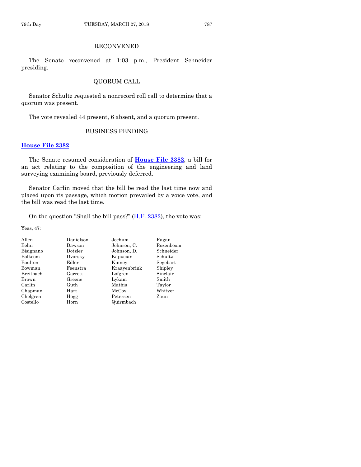# RECONVENED

The Senate reconvened at 1:03 p.m., President Schneider presiding.

# QUORUM CALL

Senator Schultz requested a nonrecord roll call to determine that a quorum was present.

The vote revealed 44 present, 6 absent, and a quorum present.

# BUSINESS PENDING

# **[House File 2382](https://www.legis.iowa.gov/legislation/BillBook?ga=87&ba=HF2382)**

The Senate resumed consideration of **[House File 2382](https://www.legis.iowa.gov/legislation/BillBook?ga=87&ba=HF2382)**, a bill for an act relating to the composition of the engineering and land surveying examining board, previously deferred.

Senator Carlin moved that the bill be read the last time now and placed upon its passage, which motion prevailed by a voice vote, and the bill was read the last time.

On the question "Shall the bill pass?"  $(H.F. 2382)$ , the vote was:

Yeas, 47:

| Danielson  | Jochum       | Ragan     |
|------------|--------------|-----------|
| Dawson     | Johnson, C.  | Rozenboom |
| Dotzler    | Johnson, D.  | Schneider |
| Dvorsky    | Kapucian     | Schultz   |
| Edler      | Kinney       | Segebart  |
| Feenstra   | Kraayenbrink | Shipley   |
| Garrett    | Lofgren      | Sinclair  |
| Greene     | Lykam        | Smith     |
| Guth       | Mathis       | Taylor    |
| $\rm Hart$ | McCoy        | Whitver   |
| Hogg       | Petersen     | Zaun      |
| Horn       | Quirmbach    |           |
|            |              |           |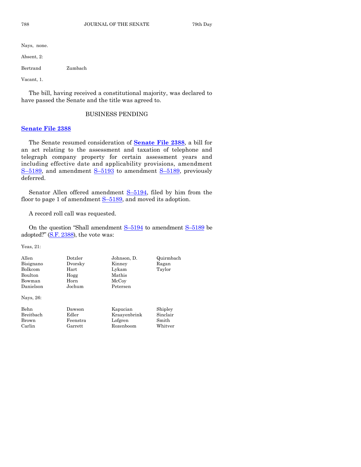Nays, none.

Absent, 2:

Bertrand Zumbach

Vacant, 1.

The bill, having received a constitutional majority, was declared to have passed the Senate and the title was agreed to.

# BUSINESS PENDING

#### **[Senate File 2388](https://www.legis.iowa.gov/legislation/BillBook?ga=87&ba=SF2388)**

The Senate resumed consideration of **[Senate File 2388](https://www.legis.iowa.gov/legislation/BillBook?ga=87&ba=SF2388)**, a bill for an act relating to the assessment and taxation of telephone and telegraph company property for certain assessment years and including effective date and applicability provisions, amendment S-[5189,](https://www.legis.iowa.gov/legislation/BillBook?ga=87&ba=S5189) and amendment S-[5193](https://www.legis.iowa.gov/legislation/BillBook?ga=87&ba=S5193) to amendment S-5189, previously deferred.

Senator Allen offered amendment  $S-5194$ , filed by him from the floor to page 1 of amendment  $S-5189$ , and moved its adoption.

A record roll call was requested.

On the question "Shall amendment S–[5194](https://www.legis.iowa.gov/legislation/BillBook?ga=87&ba=S5194) to amendment S–[5189](https://www.legis.iowa.gov/legislation/BillBook?ga=87&ba=S5189) be adopted?"  $(S.F. 2388)$  $(S.F. 2388)$ , the vote was:

Yeas, 21:

| Allen<br>Bisignano<br>Bolkcom<br><b>Boulton</b> | Dotzler<br>Dvorsky<br>$\rm Hart$<br>Hogg | Johnson, D.<br>Kinney<br>Lykam<br>Mathis | Quirmbach<br>Ragan<br>Taylor |
|-------------------------------------------------|------------------------------------------|------------------------------------------|------------------------------|
| Bowman                                          | Horn                                     | McCoy                                    |                              |
| Danielson                                       | Jochum                                   | Petersen                                 |                              |
| Nays, 26:                                       |                                          |                                          |                              |
| Behn                                            | Dawson                                   | Kapucian                                 | Shipley                      |
| Breithach                                       | Edler                                    | Kraayenbrink                             | Sinclair                     |
| Brown                                           | Feenstra                                 | Lofgren                                  | Smith                        |
| Carlin                                          | Garrett                                  | Rozenboom                                | Whitver                      |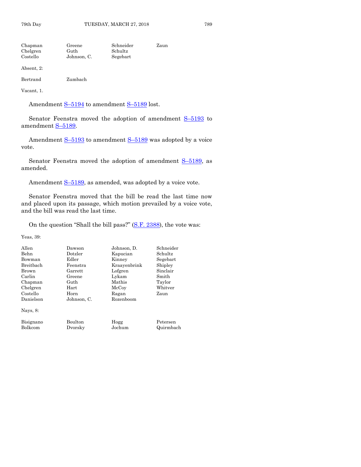| Chapman  | Greene      | Schneider | Zaun |
|----------|-------------|-----------|------|
| Chelgren | Guth        | Schultz   |      |
| Costello | Johnson, C. | Segebart  |      |

Absent, 2:

| Bertrand | Zumbach |
|----------|---------|
|          |         |

Vacant, 1.

Amendment S-[5194](https://www.legis.iowa.gov/legislation/BillBook?ga=87&ba=S5194) to amendment S-[5189](https://www.legis.iowa.gov/legislation/BillBook?ga=87&ba=S5189) lost.

Senator Feenstra moved the adoption of amendment S-[5193](https://www.legis.iowa.gov/legislation/BillBook?ga=87&ba=S5193) to amendment S–[5189.](https://www.legis.iowa.gov/legislation/BillBook?ga=87&ba=S5189)

Amendment S-[5193](https://www.legis.iowa.gov/legislation/BillBook?ga=87&ba=S5193) to amendment S-[5189](https://www.legis.iowa.gov/legislation/BillBook?ga=87&ba=S5189) was adopted by a voice vote.

Senator Feenstra moved the adoption of amendment  $S-5189$ , as amended.

Amendment S-[5189,](https://www.legis.iowa.gov/legislation/BillBook?ga=87&ba=S5189) as amended, was adopted by a voice vote.

Senator Feenstra moved that the bill be read the last time now and placed upon its passage, which motion prevailed by a voice vote, and the bill was read the last time.

On the question "Shall the bill pass?" [\(S.F. 2388\)](https://www.legis.iowa.gov/legislation/BillBook?ga=87&ba=SF2388), the vote was:

Yeas, 39:

| Allen        | Dawson      | Johnson, D.  | Schneider |
|--------------|-------------|--------------|-----------|
| Behn         | Dotzler     | Kapucian     | Schultz.  |
| Bowman       | Edler       | Kinney       | Segebart  |
| Breithach    | Feenstra    | Kraayenbrink | Shipley   |
| <b>Brown</b> | Garrett     | Lofgren      | Sinclair  |
| Carlin       | Greene      | Lykam        | Smith     |
| Chapman      | Guth        | Mathis       | Taylor    |
| Chelgren     | Hart        | McCoy        | Whitver   |
| Costello     | Horn        | Ragan        | Zaun      |
| Danielson    | Johnson, C. | Rozenboom    |           |
| Nays, $8$ :  |             |              |           |

Bisignano Boulton Hogg Petersen<br>Bolkcom Dvorsky Jochum Quirmba Quirmbach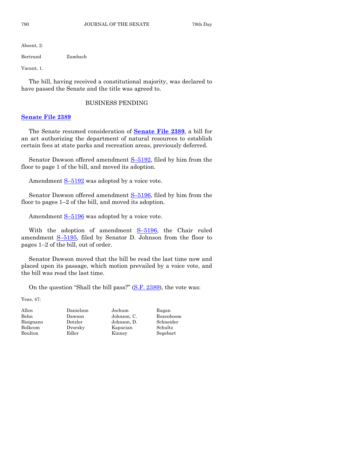Absent, 2:

Bertrand Zumbach

Vacant, 1.

The bill, having received a constitutional majority, was declared to have passed the Senate and the title was agreed to.

## BUSINESS PENDING

# **[Senate File 2389](https://www.legis.iowa.gov/legislation/BillBook?ga=87&ba=SF2389)**

The Senate resumed consideration of **[Senate File 2389](https://www.legis.iowa.gov/legislation/BillBook?ga=87&ba=SF2389)**, a bill for an act authorizing the department of natural resources to establish certain fees at state parks and recreation areas, previously deferred.

Senator Dawson offered amendment S–[5192,](https://www.legis.iowa.gov/legislation/BillBook?ga=87&ba=S5192) filed by him from the floor to page 1 of the bill, and moved its adoption.

Amendment  $S-5192$  $S-5192$  was adopted by a voice vote.

Senator Dawson offered amendment S–[5196,](https://www.legis.iowa.gov/legislation/BillBook?ga=87&ba=S5196) filed by him from the floor to pages  $1-2$  of the bill, and moved its adoption.

Amendment  $S-5196$  $S-5196$  was adopted by a voice vote.

With the adoption of amendment S-[5196,](https://www.legis.iowa.gov/legislation/BillBook?ga=87&ba=S5196) the Chair ruled amendment S–[5195,](https://www.legis.iowa.gov/legislation/BillBook?ga=87&ba=S5195) filed by Senator D. Johnson from the floor to pages 1–2 of the bill, out of order.

Senator Dawson moved that the bill be read the last time now and placed upon its passage, which motion prevailed by a voice vote, and the bill was read the last time.

On the question "Shall the bill pass?" [\(S.F. 2389\)](https://www.legis.iowa.gov/legislation/BillBook?ga=87&ba=SF2389), the vote was:

Yeas, 47:

Allen Danielson Jochum Ragan Bisignano Dotzler Johnson, D. Schneider Bolkcom Dvorsky Kapucian Schultz Boulton Edler Kinney Segebart

Behn Dawson Johnson, C. Rozenboom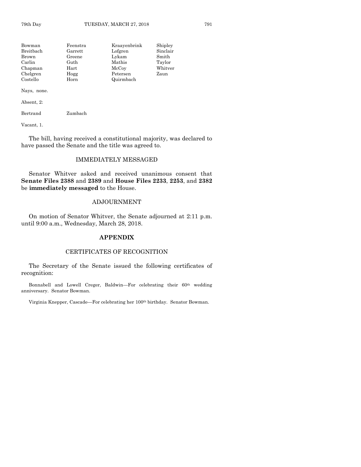| Bowman    | Feenstra   | Kraavenbrink | Shipley  |
|-----------|------------|--------------|----------|
| Breitbach | Garrett    | Lofgren      | Sinclair |
| Brown     | Greene     | Lykam        | Smith    |
| Carlin    | Guth       | Mathis       | Taylor   |
| Chapman   | $\rm Hart$ | McCoy        | Whitver  |
| Chelgren  | Hogg       | Petersen     | Zaun     |
| Costello  | Horn       | Quirmbach    |          |

Nays, none.

Absent, 2:

Bertrand Zumbach

Vacant, 1.

The bill, having received a constitutional majority, was declared to have passed the Senate and the title was agreed to.

# IMMEDIATELY MESSAGED

Senator Whitver asked and received unanimous consent that **Senate Files 2388** and **2389** and **House Files 2233**, **2253**, and **2382** be **immediately messaged** to the House.

#### ADJOURNMENT

On motion of Senator Whitver, the Senate adjourned at 2:11 p.m. until 9:00 a.m., Wednesday, March 28, 2018.

# **APPENDIX**

# CERTIFICATES OF RECOGNITION

The Secretary of the Senate issued the following certificates of recognition:

Bonnabell and Lowell Creger, Baldwin—For celebrating their 60<sup>th</sup> wedding anniversary. Senator Bowman.

Virginia Knepper, Cascade—For celebrating her 100th birthday. Senator Bowman.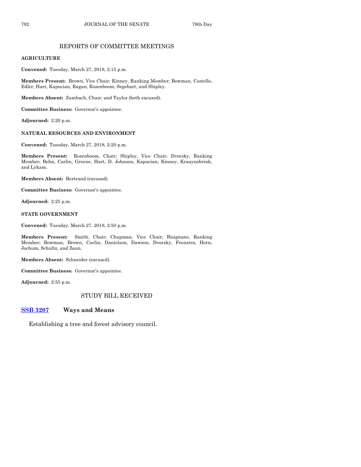# REPORTS OF COMMITTEE MEETINGS

## **AGRICULTURE**

**Convened:** Tuesday, March 27, 2018, 2:15 p.m.

**Members Present:** Brown, Vice Chair; Kinney, Ranking Member; Bowman, Costello, Edler, Hart, Kapucian, Ragan, Rozenboom, Segebart, and Shipley.

**Members Absent:** Zumbach, Chair; and Taylor (both excused).

**Committee Business:** Governor's appointee.

**Adjourned:** 2:20 p.m.

# **NATURAL RESOURCES AND ENVIRONMENT**

**Convened:** Tuesday, March 27, 2018, 2:20 p.m.

**Members Present:** Rozenboom, Chair; Shipley, Vice Chair; Dvorsky, Ranking Member; Behn, Carlin, Greene, Hart, D. Johnson, Kapucian, Kinney, Kraayenbrink, and Lykam.

**Members Absent:** Bertrand (excused).

**Committee Business:** Governor's appointee.

**Adjourned:** 2:25 p.m.

#### **STATE GOVERNMENT**

**Convened:** Tuesday, March 27, 2018, 2:50 p.m.

**Members Present:** Smith, Chair; Chapman, Vice Chair; Bisignano, Ranking Member; Bowman, Brown, Carlin, Danielson, Dawson, Dvorsky, Feenstra, Horn, Jochum, Schultz, and Zaun.

**Members Absent:** Schneider (excused).

**Committee Business:** Governor's appointee.

**Adjourned:** 2:55 p.m.

# STUDY BILL RECEIVED

# **[SSB 3207](https://www.legis.iowa.gov/legislation/BillBook?ga=87&ba=SSB3207) Ways and Means**

Establishing a tree and forest advisory council.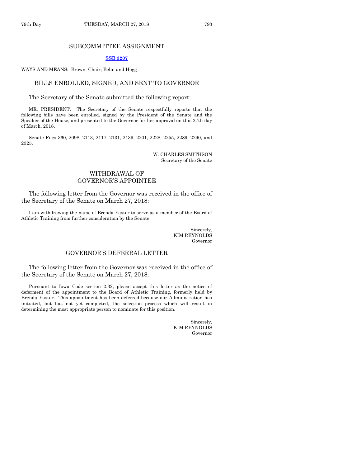#### SUBCOMMITTEE ASSIGNMENT

#### **[SSB 3207](https://www.legis.iowa.gov/legislation/BillBook?ga=87&ba=SSB3207)**

WAYS AND MEANS: Brown, Chair; Behn and Hogg

#### BILLS ENROLLED, SIGNED, AND SENT TO GOVERNOR

The Secretary of the Senate submitted the following report:

MR. PRESIDENT: The Secretary of the Senate respectfully reports that the following bills have been enrolled, signed by the President of the Senate and the Speaker of the House, and presented to the Governor for her approval on this 27th day of March, 2018.

Senate Files 360, 2098, 2113, 2117, 2131, 2139, 2201, 2228, 2255, 2289, 2290, and 2325.

> W. CHARLES SMITHSON Secretary of the Senate

## WITHDRAWAL OF GOVERNOR'S APPOINTEE

The following letter from the Governor was received in the office of the Secretary of the Senate on March 27, 2018:

I am withdrawing the name of Brenda Easter to serve as a member of the Board of Athletic Training from further consideration by the Senate.

> Sincerely, KIM REYNOLDS Governor

# GOVERNOR'S DEFERRAL LETTER

The following letter from the Governor was received in the office of the Secretary of the Senate on March 27, 2018:

Pursuant to Iowa Code section 2.32, please accept this letter as the notice of deferment of the appointment to the Board of Athletic Training, formerly held by Brenda Easter. This appointment has been deferred because our Administration has initiated, but has not yet completed, the selection process which will result in determining the most appropriate person to nominate for this position.

> Sincerely, KIM REYNOLDS Governor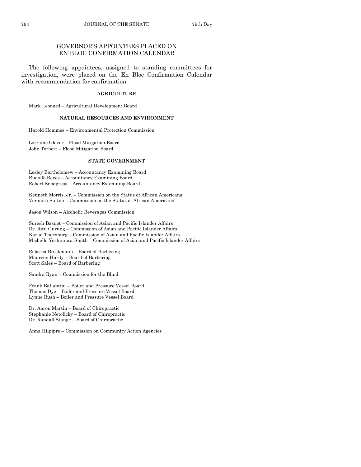# GOVERNOR'S APPOINTEES PLACED ON EN BLOC CONFIRMATION CALENDAR

The following appointees, assigned to standing committees for investigation, were placed on the En Bloc Confirmation Calendar with recommendation for confirmation:

#### **AGRICULTURE**

Mark Leonard – Agricultural Development Board

#### **NATURAL RESOURCES AND ENVIRONMENT**

Harold Hommes – Environmental Protection Commission

Lorraine Glover – Flood Mitigation Board John Torbert – Flood Mitigation Board

#### **STATE GOVERNMENT**

Lesley Bartholomew – Accountancy Examining Board Rudolfo Reyes – Accountancy Examining Board Robert Snodgrass – Accountancy Examining Board

Kenneth Morris, Jr. – Commission on the Status of African Americans Veronica Sutton – Commission on the Status of African Americans

Jason Wilson – Alcoholic Beverages Commission

Suresh Basnet – Commission of Asian and Pacific Islander Affairs Dr. Ritu Gurung – Commission of Asian and Pacific Islander Affairs Karlai Thornburg – Commission of Asian and Pacific Islander Affairs Michelle Yoshimura-Smith – Commission of Asian and Pacific Islander Affairs

Rebecca Brockmann – Board of Barbering Maureen Hardy – Board of Barbering Scott Sales – Board of Barbering

Sandra Ryan – Commission for the Blind

Frank Ballantini – Boiler and Pressure Vessel Board Thomas Dye – Boiler and Pressure Vessel Board Lynne Rush – Boiler and Pressure Vessel Board

Dr. Aaron Martin – Board of Chiropractic Stephanie Netolicky – Board of Chiropractic Dr. Randall Stange – Board of Chiropractic

Anna Hilpipre – Commission on Community Action Agencies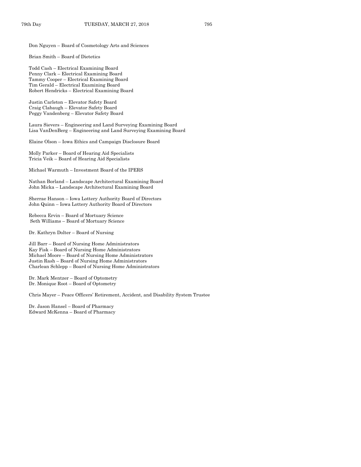Don Nguyen – Board of Cosmetology Arts and Sciences

Brian Smith – Board of Dietetics

Todd Cash – Electrical Examining Board Penny Clark – Electrical Examining Board Tammy Cooper – Electrical Examining Board Tim Gerald – Electrical Examining Board Robert Hendricks – Electrical Examining Board

Justin Carleton – Elevator Safety Board Craig Clabaugh – Elevator Safety Board Peggy Vandenberg – Elevator Safety Board

Laura Sievers – Engineering and Land Surveying Examining Board Lisa VanDenBerg – Engineering and Land Surveying Examining Board

Elaine Olson – Iowa Ethics and Campaign Disclosure Board

Molly Parker – Board of Hearing Aid Specialists Tricia Veik – Board of Hearing Aid Specialists

Michael Warmuth – Investment Board of the IPERS

Nathan Borland – Landscape Architectural Examining Board John Micka – Landscape Architectural Examining Board

Sherrae Hanson – Iowa Lottery Authority Board of Directors John Quinn – Iowa Lottery Authority Board of Directors

Rebecca Ervin – Board of Mortuary Science Seth Williams – Board of Mortuary Science

Dr. Kathryn Dolter – Board of Nursing

Jill Barr – Board of Nursing Home Administrators Kay Fisk – Board of Nursing Home Administrators Michael Moore – Board of Nursing Home Administrators Justin Rash – Board of Nursing Home Administrators Charlean Schlepp – Board of Nursing Home Administrators

Dr. Mark Mentzer – Board of Optometry Dr. Monique Root – Board of Optometry

Chris Mayer – Peace Officers' Retirement, Accident, and Disability System Trustee

Dr. Jason Hansel – Board of Pharmacy Edward McKenna – Board of Pharmacy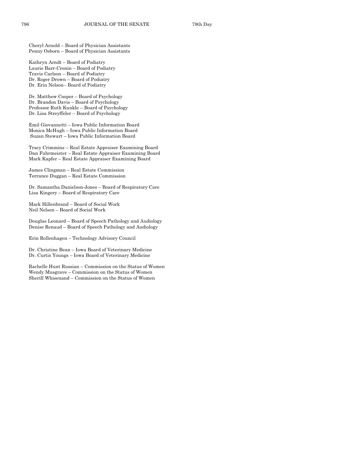Cheryl Arnold – Board of Physician Assistants Penny Osborn – Board of Physician Assistants

Kathryn Arndt – Board of Podiatry Laurie Barr-Cronin – Board of Podiatry Travis Carlson – Board of Podiatry Dr. Roger Drown – Board of Podiatry Dr. Erin Nelson– Board of Podiatry

Dr. Matthew Cooper – Board of Psychology Dr. Brandon Davis – Board of Psychology Professor Ruth Kunkle – Board of Psychology Dr. Lisa Streyffeler – Board of Psychology

Emil Giovannetti – Iowa Public Information Board Monica McHugh – Iowa Public Information Board Suzan Stewart – Iowa Public Information Board

Tracy Crimmins – Real Estate Appraiser Examining Board Dan Fuhrmeister – Real Estate Appraiser Examining Board Mark Kapfer – Real Estate Appraiser Examining Board

James Clingman – Real Estate Commission Terrance Duggan – Real Estate Commission

Dr. Samantha Danielson-Jones – Board of Respiratory Care Lisa Kingery – Board of Respiratory Care

Mark Hillenbrand – Board of Social Work Neil Nelsen – Board of Social Work

Douglas Leonard – Board of Speech Pathology and Audiology Denise Renaud – Board of Speech Pathology and Audiology

Erin Rollenhagen – Technology Advisory Council

Dr. Christine Bean – Iowa Board of Veterinary Medicine Dr. Curtis Youngs – Iowa Board of Veterinary Medicine

Rachelle Hunt Russian – Commission on the Status of Women Wendy Musgrave – Commission on the Status of Women Sherill Whisenand – Commission on the Status of Women